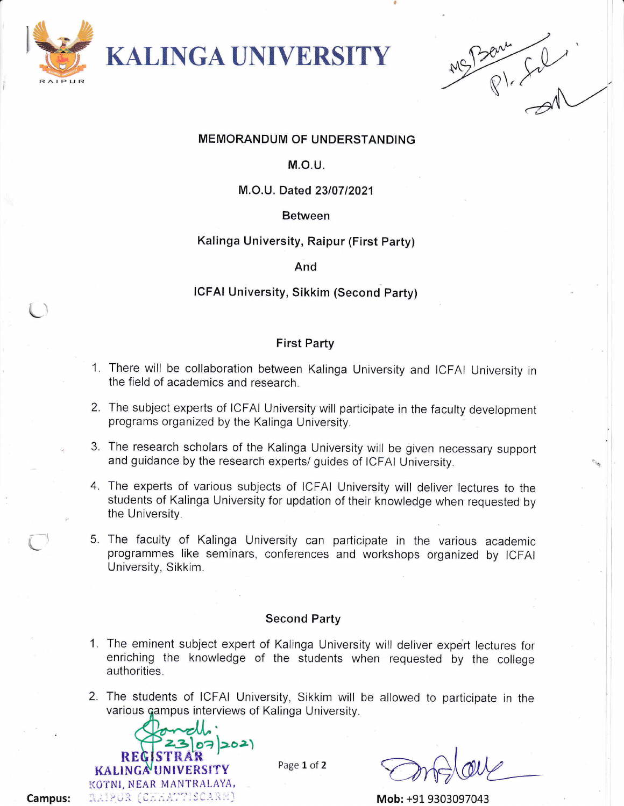

Q\.

# MEMORANDUM OF UNDERSTANDING

t

# M.O.U.

# M.O.U. Dated 23/07/2021

### Between

# Kalinga University, Raipur (First Party)

#### And

# ICFAI University, Sikkim (Second Party)

# First Party

- There will be collaboration between Kalinga University and ICFAI University in 1 the field of academics and research.
- 2. The subject experts of ICFAI University will participate in the faculty development programs organized by the Kalinga University.
- 3. The research scholars of the Kalinga University will be given necessary support and guidance by the research experts/ guides of ICFAI University.
- 4. The experts of various subjects of ICFAI University will deliver lectures to the students of Kalinga University for updation of their knowledge when requested by the University.
- 5. The faculty of Kalinga University can participate in the various academic programmes like seminars, conferences and workshops organized by ICFAI University, Sikkim.

#### Second Party

- 1. The eminent subject expert of Kalinga University will deliver expert lectures for enriching the knowledge of the students when requested by the college authorities.
- 2. The students of ICFAI University, Sikkim will be allowed to participate in the various campus interviews of Kalinga University.



Page 1 of 2

Mob: +91 9303097043

Campus